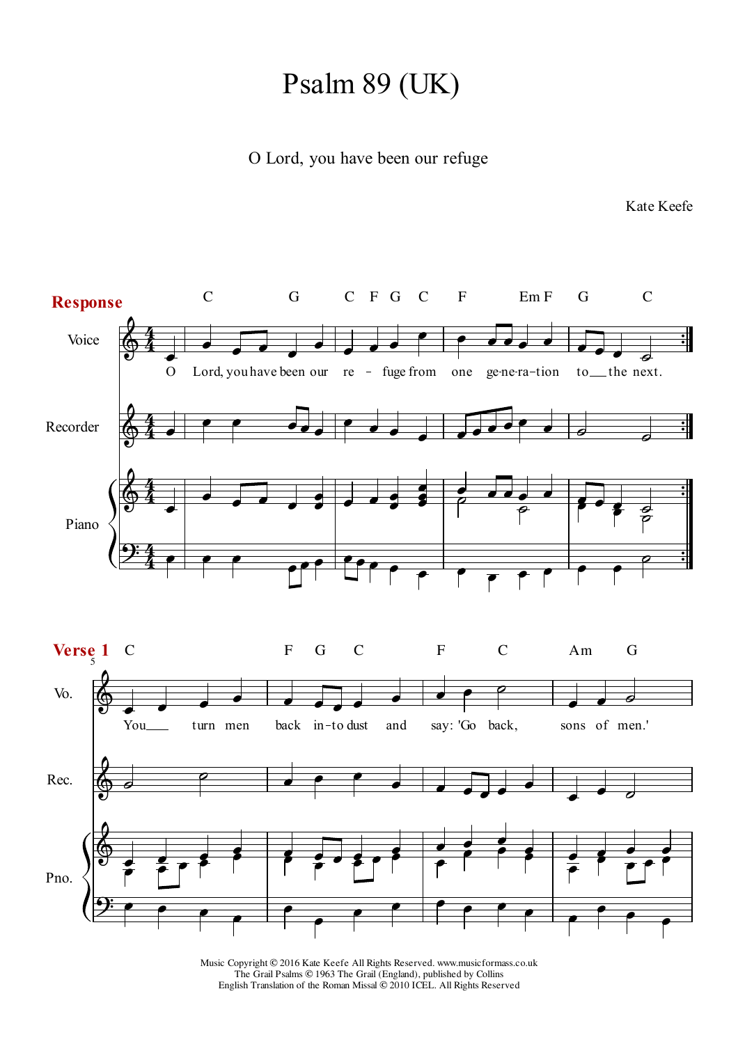## Psalm 89 (UK)

## O Lord, you have been our refuge

Kate Keefe

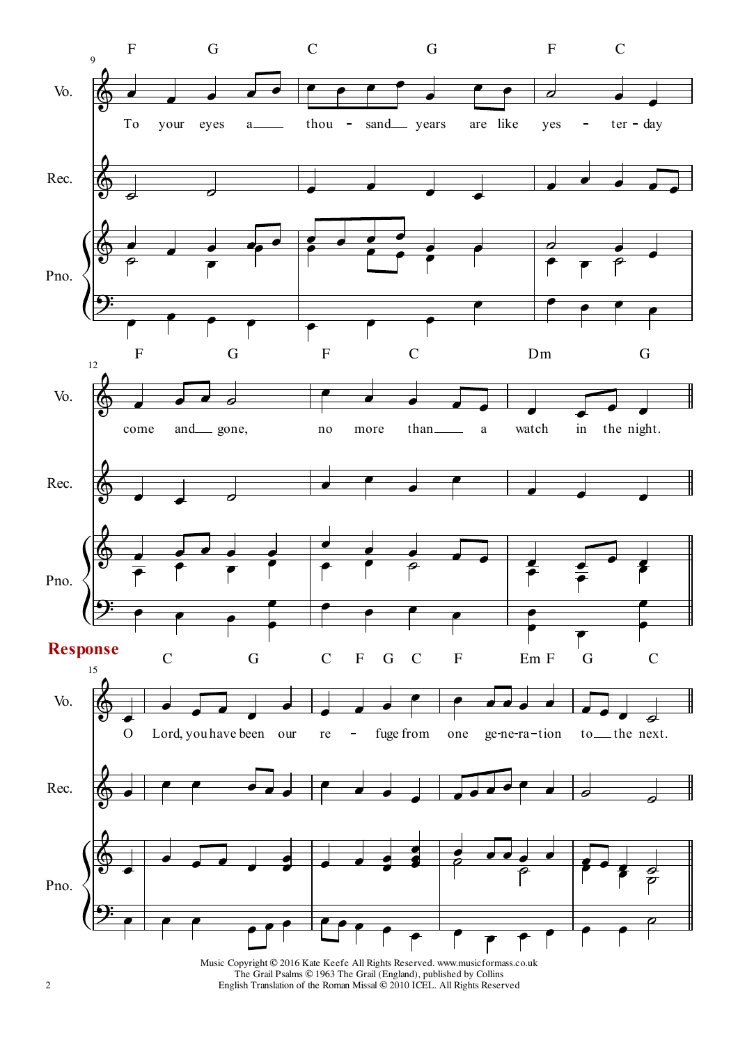

Music Copyright © 2016 Kate Keefe All Rights Reserved. www.musicformass.co.uk The Grail Psalms © 1963 The Grail (England), published by Collins English Translation of the Roman Missal © 2010 ICEL. All Rights Reserved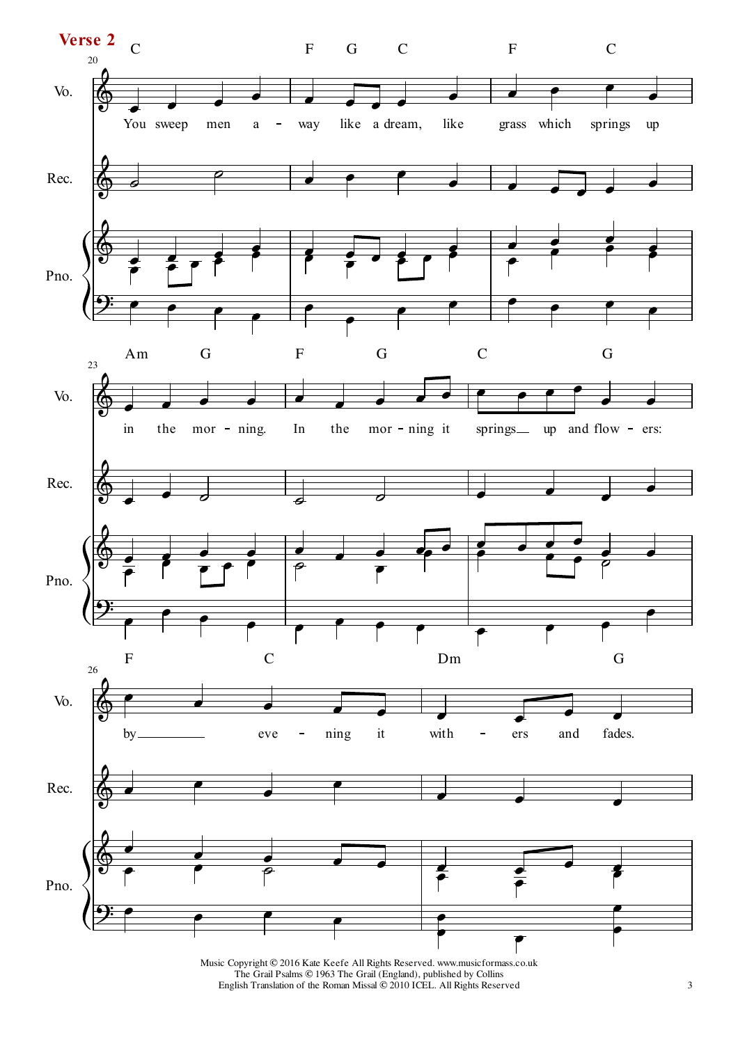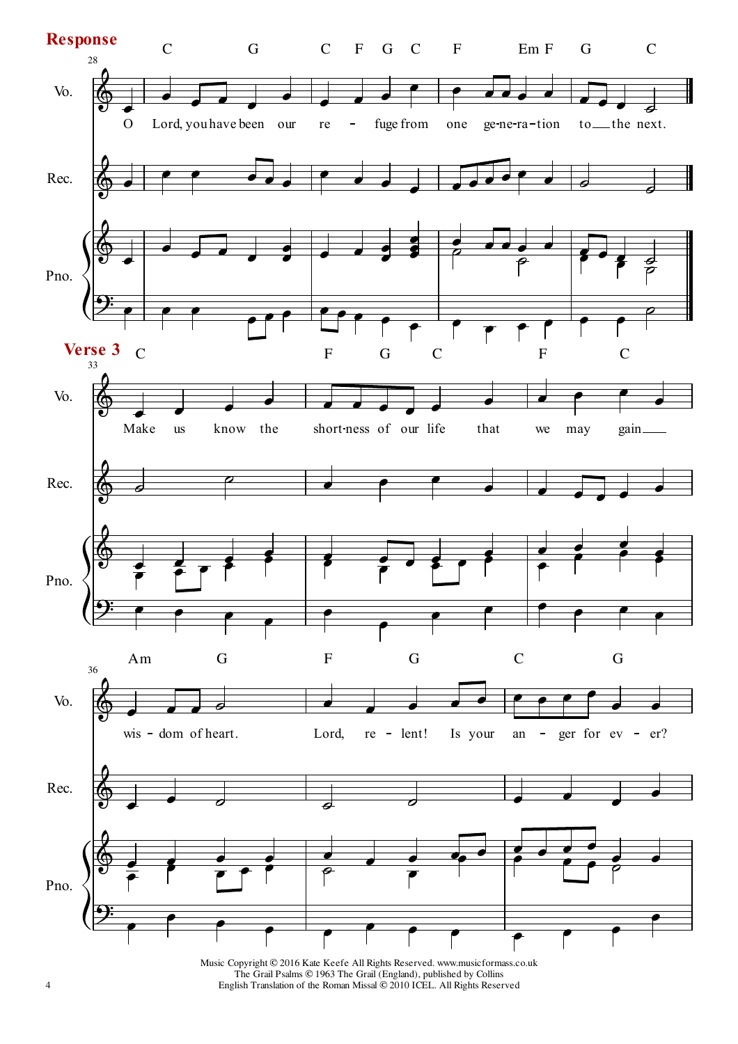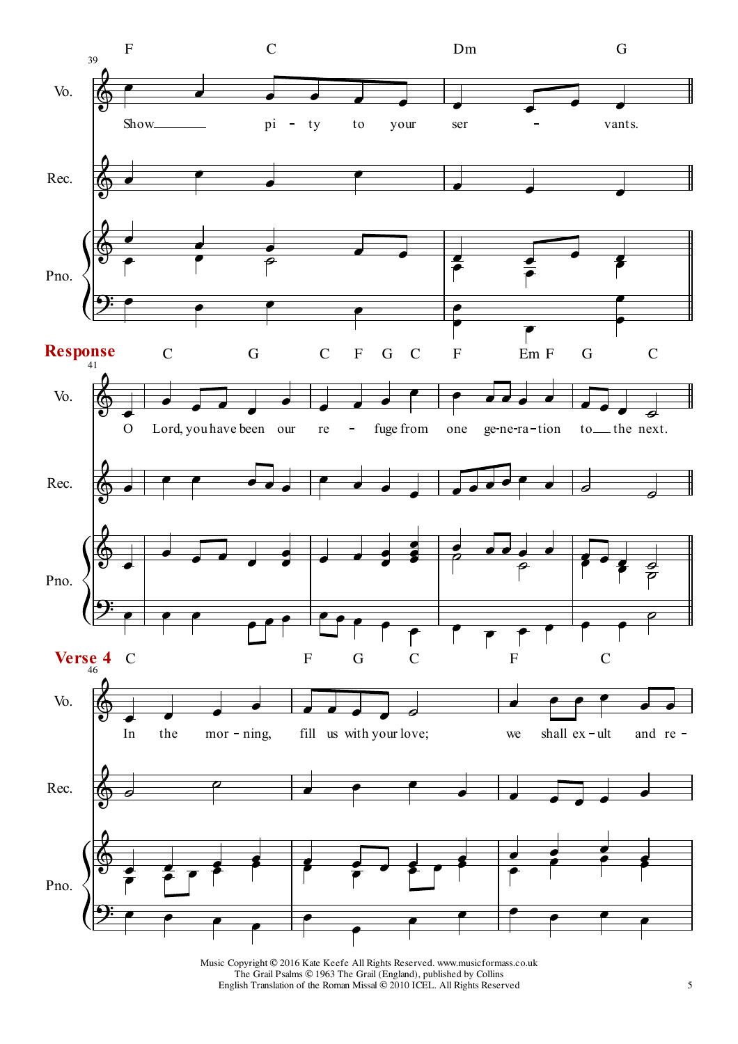

Music Copyright © 2016 Kate Keefe All Rights Reserved. www.musicformass.co.uk The Grail Psalms © 1963 The Grail (England), published by Collins English Translation of the Roman Missal © 2010 ICEL. All Rights Reserved 5